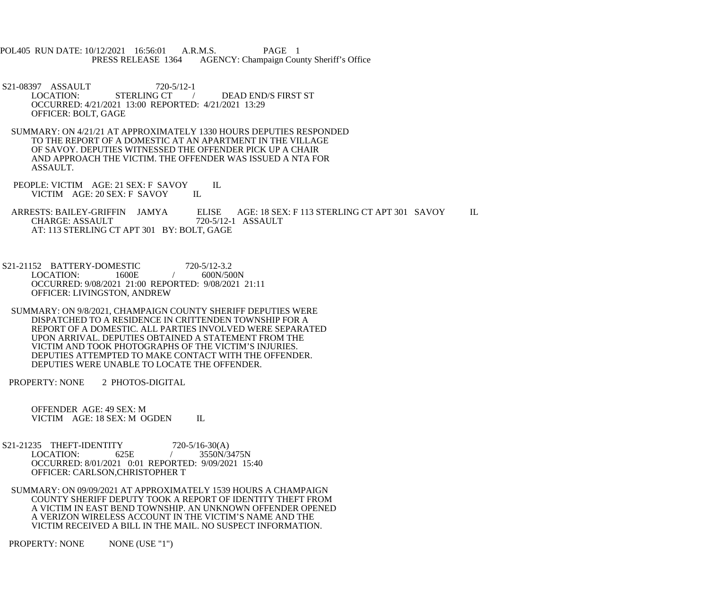POL405 RUN DATE: 10/12/2021 16:56:01 A.R.M.S. PAGE 1<br>PRESS RELEASE 1364 AGENCY: Champaign Cou AGENCY: Champaign County Sheriff's Office

S21-08397 ASSAULT 720-5/12-1<br>LOCATION: STERLING CT DEAD END/S FIRST ST OCCURRED: 4/21/2021 13:00 REPORTED: 4/21/2021 13:29 OFFICER: BOLT, GAGE

 SUMMARY: ON 4/21/21 AT APPROXIMATELY 1330 HOURS DEPUTIES RESPONDED TO THE REPORT OF A DOMESTIC AT AN APARTMENT IN THE VILLAGE OF SAVOY. DEPUTIES WITNESSED THE OFFENDER PICK UP A CHAIR AND APPROACH THE VICTIM. THE OFFENDER WAS ISSUED A NTA FOR ASSAULT.

PEOPLE: VICTIM AGE: 21 SEX: F SAVOY IL<br>VICTIM AGE: 20 SEX: F SAVOY IL VICTIM AGE: 20 SEX: F SAVOY

ARRESTS: BAILEY-GRIFFIN JAMYA ELISE AGE: 18 SEX: F 113 STERLING CT APT 301 SAVOY IL<br>CHARGE: ASSAULT 720-5/12-1 ASSAULT CHARGE: ASSAULT 720-5/12-1 ASSAULT AT: 113 STERLING CT APT 301 BY: BOLT, GAGE

S21-21152 BATTERY-DOMESTIC 720-5/12-3.2<br>LOCATION: 1600E / 600N/500N LOCATION: OCCURRED: 9/08/2021 21:00 REPORTED: 9/08/2021 21:11 OFFICER: LIVINGSTON, ANDREW

 SUMMARY: ON 9/8/2021, CHAMPAIGN COUNTY SHERIFF DEPUTIES WERE DISPATCHED TO A RESIDENCE IN CRITTENDEN TOWNSHIP FOR A REPORT OF A DOMESTIC. ALL PARTIES INVOLVED WERE SEPARATED UPON ARRIVAL. DEPUTIES OBTAINED A STATEMENT FROM THE VICTIM AND TOOK PHOTOGRAPHS OF THE VICTIM'S INJURIES. DEPUTIES ATTEMPTED TO MAKE CONTACT WITH THE OFFENDER. DEPUTIES WERE UNABLE TO LOCATE THE OFFENDER.

PROPERTY: NONE 2 PHOTOS-DIGITAL

 OFFENDER AGE: 49 SEX: M VICTIM AGE: 18 SEX: M OGDEN IL

- S21-21235 THEFT-IDENTITY 720-5/16-30(A)<br>LOCATION: 625E / 3550N/3 LOCATION: 625E / 3550N/3475N OCCURRED: 8/01/2021 0:01 REPORTED: 9/09/2021 15:40 OFFICER: CARLSON,CHRISTOPHER T
	- SUMMARY: ON 09/09/2021 AT APPROXIMATELY 1539 HOURS A CHAMPAIGN COUNTY SHERIFF DEPUTY TOOK A REPORT OF IDENTITY THEFT FROM A VICTIM IN EAST BEND TOWNSHIP. AN UNKNOWN OFFENDER OPENED A VERIZON WIRELESS ACCOUNT IN THE VICTIM'S NAME AND THE VICTIM RECEIVED A BILL IN THE MAIL. NO SUSPECT INFORMATION.

PROPERTY: NONE NONE (USE "1")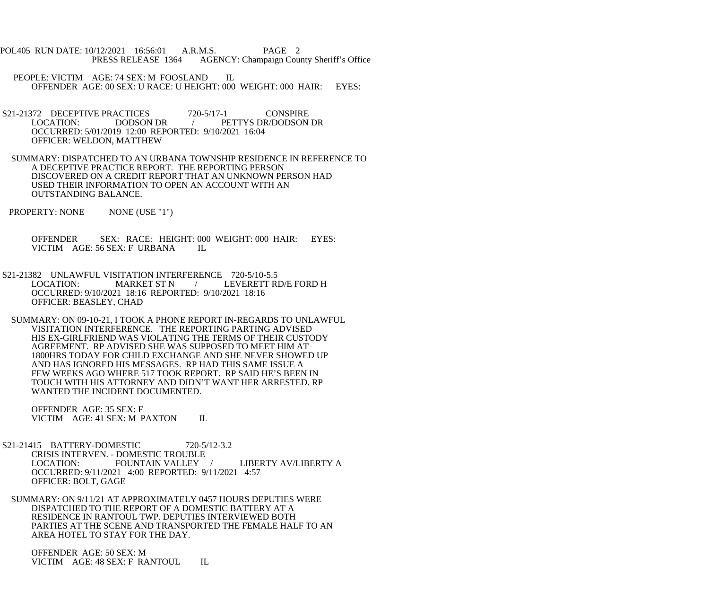- POL405 RUN DATE: 10/12/2021 16:56:01 A.R.M.S. PAGE 2 PRESS RELEASE 1364 AGENCY: Champaign County Sheriff's Office
	- PEOPLE: VICTIM AGE: 74 SEX: M FOOSLAND IL OFFENDER AGE: 00 SEX: U RACE: U HEIGHT: 000 WEIGHT: 000 HAIR: EYES:
- S21-21372 DECEPTIVE PRACTICES 720-5/17-1 CONSPIRE<br>LOCATION: DODSON DR / PETTYS DR/DODSON LOCATION: DODSON DR / PETTYS DR/DODSON DR OCCURRED: 5/01/2019 12:00 REPORTED: 9/10/2021 16:04 OFFICER: WELDON, MATTHEW
- SUMMARY: DISPATCHED TO AN URBANA TOWNSHIP RESIDENCE IN REFERENCE TO A DECEPTIVE PRACTICE REPORT. THE REPORTING PERSON DISCOVERED ON A CREDIT REPORT THAT AN UNKNOWN PERSON HAD USED THEIR INFORMATION TO OPEN AN ACCOUNT WITH AN OUTSTANDING BALANCE.
- PROPERTY: NONE NONE (USE "1")

 OFFENDER SEX: RACE: HEIGHT: 000 WEIGHT: 000 HAIR: EYES: VICTIM AGE: 56 SEX: F URBANA IL

- S21-21382 UNLAWFUL VISITATION INTERFERENCE 720-5/10-5.5<br>LOCATION: MARKET ST N / LEVERETT RI / LEVERETT RD/E FORD H OCCURRED: 9/10/2021 18:16 REPORTED: 9/10/2021 18:16 OFFICER: BEASLEY, CHAD
- SUMMARY: ON 09-10-21, I TOOK A PHONE REPORT IN-REGARDS TO UNLAWFUL VISITATION INTERFERENCE. THE REPORTING PARTING ADVISED HIS EX-GIRLFRIEND WAS VIOLATING THE TERMS OF THEIR CUSTODY AGREEMENT. RP ADVISED SHE WAS SUPPOSED TO MEET HIM AT 1800HRS TODAY FOR CHILD EXCHANGE AND SHE NEVER SHOWED UP AND HAS IGNORED HIS MESSAGES. RP HAD THIS SAME ISSUE A FEW WEEKS AGO WHERE 517 TOOK REPORT. RP SAID HE'S BEEN IN TOUCH WITH HIS ATTORNEY AND DIDN'T WANT HER ARRESTED. RP WANTED THE INCIDENT DOCUMENTED.

 OFFENDER AGE: 35 SEX: F VICTIM AGE: 41 SEX: M PAXTON IL

- S21-21415 BATTERY-DOMESTIC 720-5/12-3.2 CRISIS INTERVEN. - DOMESTIC TROUBLE LOCATION: FOUNTAIN VALLEY / LIBERTY AV/LIBERTY A OCCURRED: 9/11/2021 4:00 REPORTED: 9/11/2021 4:57 OFFICER: BOLT, GAGE
- SUMMARY: ON 9/11/21 AT APPROXIMATELY 0457 HOURS DEPUTIES WERE DISPATCHED TO THE REPORT OF A DOMESTIC BATTERY AT A RESIDENCE IN RANTOUL TWP. DEPUTIES INTERVIEWED BOTH PARTIES AT THE SCENE AND TRANSPORTED THE FEMALE HALF TO AN AREA HOTEL TO STAY FOR THE DAY.

 OFFENDER AGE: 50 SEX: M VICTIM AGE: 48 SEX: F RANTOUL IL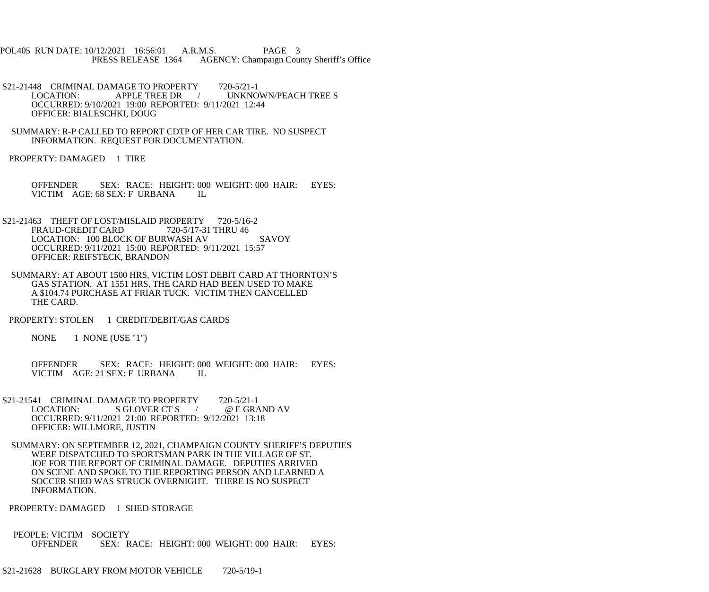POL405 RUN DATE: 10/12/2021 16:56:01 A.R.M.S. PAGE 3 PRESS RELEASE 1364 AGENCY: Champaign County Sheriff's Office

- S21-21448 CRIMINAL DAMAGE TO PROPERTY 720-5/21-1<br>LOCATION: APPLE TREE DR / UNKNO / UNKNOWN/PEACH TREE S OCCURRED: 9/10/2021 19:00 REPORTED: 9/11/2021 12:44 OFFICER: BIALESCHKI, DOUG
- SUMMARY: R-P CALLED TO REPORT CDTP OF HER CAR TIRE. NO SUSPECT INFORMATION. REQUEST FOR DOCUMENTATION.
- PROPERTY: DAMAGED 1 TIRE
	- OFFENDER SEX: RACE: HEIGHT: 000 WEIGHT: 000 HAIR: EYES: VICTIM AGE: 68 SEX: F URBANA IL
- S21-21463 THEFT OF LOST/MISLAID PROPERTY 720-5/16-2<br>FRAUD-CREDIT CARD 720-5/17-31 THRU 46 FRAUD-CREDIT CARD LOCATION: 100 BLOCK OF BURWASH AV SAVOY OCCURRED: 9/11/2021 15:00 REPORTED: 9/11/2021 15:57 OFFICER: REIFSTECK, BRANDON
- SUMMARY: AT ABOUT 1500 HRS, VICTIM LOST DEBIT CARD AT THORNTON'S GAS STATION. AT 1551 HRS, THE CARD HAD BEEN USED TO MAKE A \$104.74 PURCHASE AT FRIAR TUCK. VICTIM THEN CANCELLED THE CARD.
- PROPERTY: STOLEN 1 CREDIT/DEBIT/GAS CARDS

NONE 1 NONE (USE "1")

OFFENDER SEX: RACE: HEIGHT: 000 WEIGHT: 000 HAIR: EYES:<br>VICTIM AGE: 21 SEX: F URBANA IL VICTIM AGE: 21 SEX: F URBANA

- S21-21541 CRIMINAL DAMAGE TO PROPERTY 720-5/21-1<br>LOCATION: S GLOVER CT S / @ E GRAND AV  $LOGATION:$  S GLOVER CT S  $\rightarrow$  OCCURRED: 9/11/2021 21:00 REPORTED: 9/12/2021 13:18 OFFICER: WILLMORE, JUSTIN
- SUMMARY: ON SEPTEMBER 12, 2021, CHAMPAIGN COUNTY SHERIFF'S DEPUTIES WERE DISPATCHED TO SPORTSMAN PARK IN THE VILLAGE OF ST. JOE FOR THE REPORT OF CRIMINAL DAMAGE. DEPUTIES ARRIVED ON SCENE AND SPOKE TO THE REPORTING PERSON AND LEARNED A SOCCER SHED WAS STRUCK OVERNIGHT. THERE IS NO SUSPECT INFORMATION.
- PROPERTY: DAMAGED 1 SHED-STORAGE
- PEOPLE: VICTIM SOCIETY OFFENDER SEX: RACE: HEIGHT: 000 WEIGHT: 000 HAIR: EYES: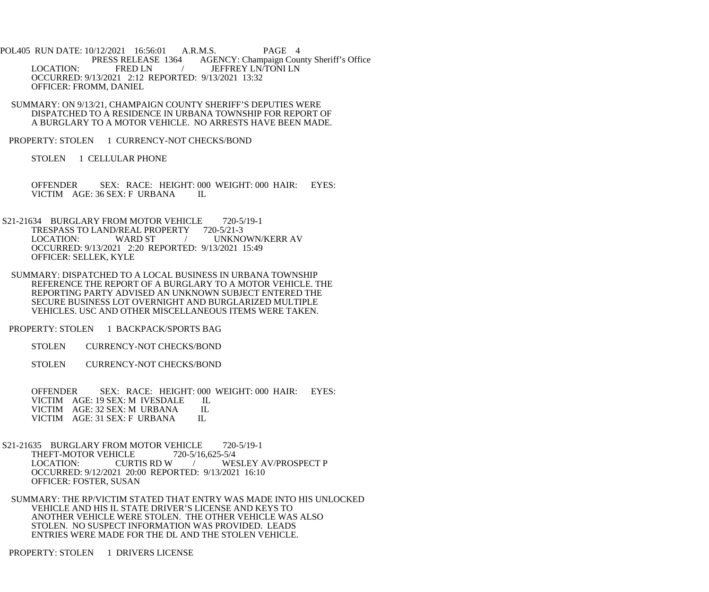POL405 RUN DATE: 10/12/2021 16:56:01 A.R.M.S. PAGE 4<br>PRESS RELEASE 1364 AGENCY: Champaign Cou AGENCY: Champaign County Sheriff's Office LOCATION: FRED LN / JEFFREY LN/TONI LN OCCURRED: 9/13/2021 2:12 REPORTED: 9/13/2021 13:32 OFFICER: FROMM, DANIEL

 SUMMARY: ON 9/13/21, CHAMPAIGN COUNTY SHERIFF'S DEPUTIES WERE DISPATCHED TO A RESIDENCE IN URBANA TOWNSHIP FOR REPORT OF A BURGLARY TO A MOTOR VEHICLE. NO ARRESTS HAVE BEEN MADE.

PROPERTY: STOLEN 1 CURRENCY-NOT CHECKS/BOND

STOLEN 1 CELLULAR PHONE

OFFENDER SEX: RACE: HEIGHT: 000 WEIGHT: 000 HAIR: EYES:<br>VICTIM AGE: 36 SEX: F URBANA IL VICTIM AGE: 36 SEX: F URBANA

S21-21634 BURGLARY FROM MOTOR VEHICLE 720-5/19-1<br>TRESPASS TO LAND/REAL PROPERTY 720-5/21-3 TRESPASS TO LAND/REAL PROPERTY<br>LOCATION: WARD ST / UNKNOWN/KERR AV OCCURRED: 9/13/2021 2:20 REPORTED: 9/13/2021 15:49 OFFICER: SELLEK, KYLE

 SUMMARY: DISPATCHED TO A LOCAL BUSINESS IN URBANA TOWNSHIP REFERENCE THE REPORT OF A BURGLARY TO A MOTOR VEHICLE. THE REPORTING PARTY ADVISED AN UNKNOWN SUBJECT ENTERED THE SECURE BUSINESS LOT OVERNIGHT AND BURGLARIZED MULTIPLE VEHICLES. USC AND OTHER MISCELLANEOUS ITEMS WERE TAKEN.

PROPERTY: STOLEN 1 BACKPACK/SPORTS BAG

STOLEN CURRENCY-NOT CHECKS/BOND

STOLEN CURRENCY-NOT CHECKS/BOND

 OFFENDER SEX: RACE: HEIGHT: 000 WEIGHT: 000 HAIR: EYES: VICTIM AGE: 19 SEX: M IVESDALE IL<br>VICTIM AGE: 32 SEX: M URBANA IL VICTIM AGE: 32 SEX: M URBANA IL<br>VICTIM AGE: 31 SEX: F URBANA IL VICTIM AGE: 31 SEX: F URBANA

S21-21635 BURGLARY FROM MOTOR VEHICLE 720-5/19-1<br>THEFT-MOTOR VEHICLE 720-5/16,625-5/4 THEFT-MOTOR VEHICLE<br>LOCATION: CURTIS RD W LOCATION: CURTIS RD W / WESLEY AV/PROSPECT P OCCURRED: 9/12/2021 20:00 REPORTED: 9/13/2021 16:10 OFFICER: FOSTER, SUSAN

 SUMMARY: THE RP/VICTIM STATED THAT ENTRY WAS MADE INTO HIS UNLOCKED VEHICLE AND HIS IL STATE DRIVER'S LICENSE AND KEYS TO ANOTHER VEHICLE WERE STOLEN. THE OTHER VEHICLE WAS ALSO STOLEN. NO SUSPECT INFORMATION WAS PROVIDED. LEADS ENTRIES WERE MADE FOR THE DL AND THE STOLEN VEHICLE.

PROPERTY: STOLEN 1 DRIVERS LICENSE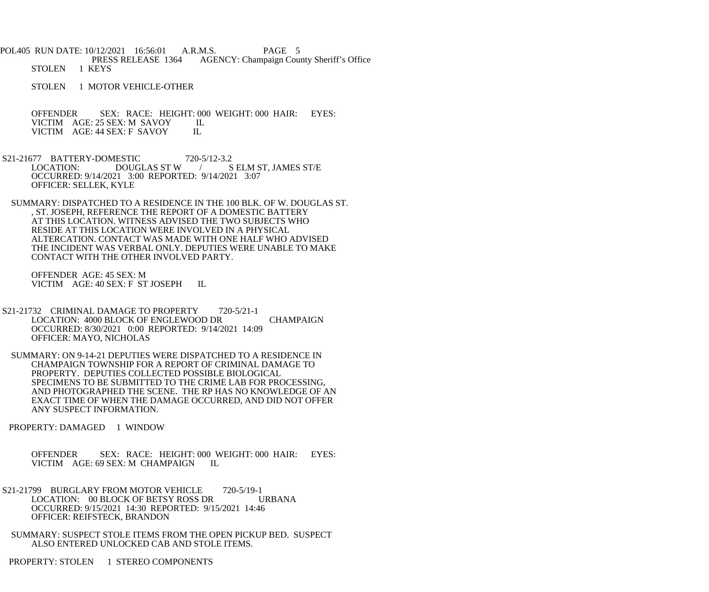POL405 RUN DATE: 10/12/2021 16:56:01 A.R.M.S. PAGE 5 PRESS RELEASE 1364 AGENCY: Champaign County Sheriff's Office STOLEN 1 KEYS

STOLEN 1 MOTOR VEHICLE-OTHER

OFFENDER SEX: RACE: HEIGHT: 000 WEIGHT: 000 HAIR: EYES: VICTIM AGE: 25 SEX: M SAVOY IL VICTIM AGE: 25 SEX: M SAVOY IL<br>VICTIM AGE: 44 SEX: F SAVOY IL VICTIM AGE: 44 SEX: F SAVOY

S21-21677 BATTERY-DOMESTIC 720-5/12-3.2<br>LOCATION: DOUGLAS ST W / S LOCATION: DOUGLAS ST W / S ELM ST, JAMES ST/E OCCURRED: 9/14/2021 3:00 REPORTED: 9/14/2021 3:07 OFFICER: SELLEK, KYLE

 SUMMARY: DISPATCHED TO A RESIDENCE IN THE 100 BLK. OF W. DOUGLAS ST. , ST. JOSEPH, REFERENCE THE REPORT OF A DOMESTIC BATTERY AT THIS LOCATION. WITNESS ADVISED THE TWO SUBJECTS WHO RESIDE AT THIS LOCATION WERE INVOLVED IN A PHYSICAL ALTERCATION. CONTACT WAS MADE WITH ONE HALF WHO ADVISED THE INCIDENT WAS VERBAL ONLY. DEPUTIES WERE UNABLE TO MAKE CONTACT WITH THE OTHER INVOLVED PARTY.

 OFFENDER AGE: 45 SEX: M VICTIM AGE: 40 SEX: F ST JOSEPH IL

- S21-21732 CRIMINAL DAMAGE TO PROPERTY 720-5/21-1 LOCATION: 4000 BLOCK OF ENGLEWOOD DR CHAMPAIGN OCCURRED: 8/30/2021 0:00 REPORTED: 9/14/2021 14:09 OFFICER: MAYO, NICHOLAS
- SUMMARY: ON 9-14-21 DEPUTIES WERE DISPATCHED TO A RESIDENCE IN CHAMPAIGN TOWNSHIP FOR A REPORT OF CRIMINAL DAMAGE TO PROPERTY. DEPUTIES COLLECTED POSSIBLE BIOLOGICAL SPECIMENS TO BE SUBMITTED TO THE CRIME LAB FOR PROCESSING, AND PHOTOGRAPHED THE SCENE. THE RP HAS NO KNOWLEDGE OF AN EXACT TIME OF WHEN THE DAMAGE OCCURRED, AND DID NOT OFFER ANY SUSPECT INFORMATION.

PROPERTY: DAMAGED 1 WINDOW

 OFFENDER SEX: RACE: HEIGHT: 000 WEIGHT: 000 HAIR: EYES: VICTIM AGE: 69 SEX: M CHAMPAIGN IL

- S21-21799 BURGLARY FROM MOTOR VEHICLE 720-5/19-1 LOCATION: 00 BLOCK OF BETSY ROSS DR URBANA OCCURRED: 9/15/2021 14:30 REPORTED: 9/15/2021 14:46 OFFICER: REIFSTECK, BRANDON
- SUMMARY: SUSPECT STOLE ITEMS FROM THE OPEN PICKUP BED. SUSPECT ALSO ENTERED UNLOCKED CAB AND STOLE ITEMS.

PROPERTY: STOLEN 1 STEREO COMPONENTS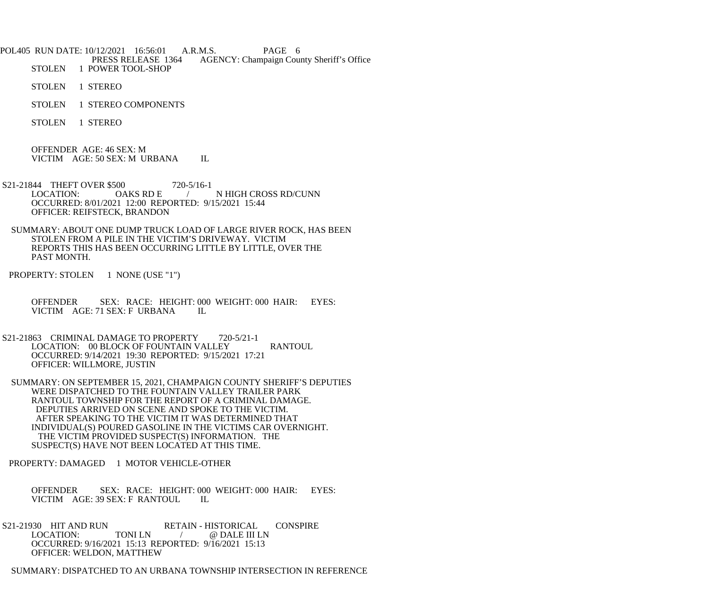POL405 RUN DATE: 10/12/2021 16:56:01 A.R.M.S. PAGE 6<br>PRESS RELEASE 1364 AGENCY: Champaign Cou PRESS RELEASE 1364 AGENCY: Champaign County Sheriff's Office<br>STOLEN 1 POWER TOOL-SHOP 1 POWER TOOL-SHOP

STOLEN 1 STEREO

STOLEN 1 STEREO COMPONENTS

STOLEN 1 STEREO

 OFFENDER AGE: 46 SEX: M VICTIM AGE: 50 SEX: M URBANA IL

- S21-21844 THEFT OVER \$500 720-5/16-1<br>LOCATION: OAKS RD E / N HIGH CROSS RD/CUNN OCCURRED: 8/01/2021 12:00 REPORTED: 9/15/2021 15:44 OFFICER: REIFSTECK, BRANDON
- SUMMARY: ABOUT ONE DUMP TRUCK LOAD OF LARGE RIVER ROCK, HAS BEEN STOLEN FROM A PILE IN THE VICTIM'S DRIVEWAY. VICTIM REPORTS THIS HAS BEEN OCCURRING LITTLE BY LITTLE, OVER THE PAST MONTH.

PROPERTY: STOLEN 1 NONE (USE "1")

 OFFENDER SEX: RACE: HEIGHT: 000 WEIGHT: 000 HAIR: EYES: VICTIM AGE: 71 SEX: F URBANA IL

- S21-21863 CRIMINAL DAMAGE TO PROPERTY 720-5/21-1 LOCATION: 00 BLOCK OF FOUNTAIN VALLEY RANTOUL OCCURRED: 9/14/2021 19:30 REPORTED: 9/15/2021 17:21 OFFICER: WILLMORE, JUSTIN
- SUMMARY: ON SEPTEMBER 15, 2021, CHAMPAIGN COUNTY SHERIFF'S DEPUTIES WERE DISPATCHED TO THE FOUNTAIN VALLEY TRAILER PARK RANTOUL TOWNSHIP FOR THE REPORT OF A CRIMINAL DAMAGE. DEPUTIES ARRIVED ON SCENE AND SPOKE TO THE VICTIM. AFTER SPEAKING TO THE VICTIM IT WAS DETERMINED THAT INDIVIDUAL(S) POURED GASOLINE IN THE VICTIMS CAR OVERNIGHT. THE VICTIM PROVIDED SUSPECT(S) INFORMATION. THE SUSPECT(S) HAVE NOT BEEN LOCATED AT THIS TIME.

PROPERTY: DAMAGED 1 MOTOR VEHICLE-OTHER

 OFFENDER SEX: RACE: HEIGHT: 000 WEIGHT: 000 HAIR: EYES: VICTIM AGE: 39 SEX: F RANTOUL IL

S21-21930 HIT AND RUN RETAIN - HISTORICAL CONSPIRE<br>LOCATION: TONI LN / @ DALE III LN / @ DALE III LN OCCURRED: 9/16/2021 15:13 REPORTED: 9/16/2021 15:13 OFFICER: WELDON, MATTHEW

SUMMARY: DISPATCHED TO AN URBANA TOWNSHIP INTERSECTION IN REFERENCE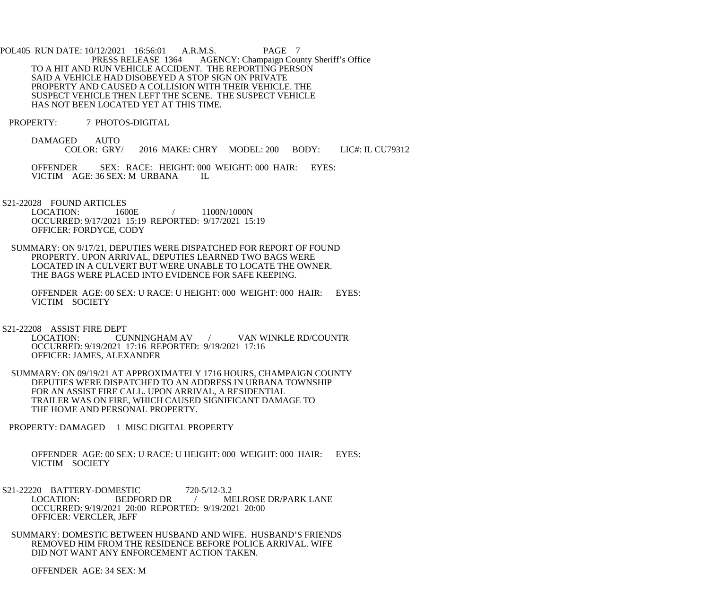POL405 RUN DATE: 10/12/2021 16:56:01 A.R.M.S. PAGE 7<br>PRESS RELEASE 1364 AGENCY: Champaign Cou AGENCY: Champaign County Sheriff's Office TO A HIT AND RUN VEHICLE ACCIDENT. THE REPORTING PERSON SAID A VEHICLE HAD DISOBEYED A STOP SIGN ON PRIVATE PROPERTY AND CAUSED A COLLISION WITH THEIR VEHICLE. THE SUSPECT VEHICLE THEN LEFT THE SCENE. THE SUSPECT VEHICLE HAS NOT BEEN LOCATED YET AT THIS TIME.

PROPERTY: 7 PHOTOS-DIGITAL

DAMAGED AUTO<br>COLOR: GRY/ 2016 MAKE: CHRY MODEL: 200 BODY: LIC#: IL CU79312

OFFENDER SEX: RACE: HEIGHT: 000 WEIGHT: 000 HAIR: EYES: VICTIM AGE: 36 SEX: M URBANA IL VICTIM AGE: 36 SEX: M URBANA

S21-22028 FOUND ARTICLES

LOCATION: 1600E / 1100N/1000N OCCURRED: 9/17/2021 15:19 REPORTED: 9/17/2021 15:19 OFFICER: FORDYCE, CODY

 SUMMARY: ON 9/17/21, DEPUTIES WERE DISPATCHED FOR REPORT OF FOUND PROPERTY. UPON ARRIVAL, DEPUTIES LEARNED TWO BAGS WERE LOCATED IN A CULVERT BUT WERE UNABLE TO LOCATE THE OWNER. THE BAGS WERE PLACED INTO EVIDENCE FOR SAFE KEEPING.

 OFFENDER AGE: 00 SEX: U RACE: U HEIGHT: 000 WEIGHT: 000 HAIR: EYES: VICTIM SOCIETY

S21-22208 ASSIST FIRE DEPT

CUNNINGHAM AV / VAN WINKLE RD/COUNTR OCCURRED: 9/19/2021 17:16 REPORTED: 9/19/2021 17:16 OFFICER: JAMES, ALEXANDER

 SUMMARY: ON 09/19/21 AT APPROXIMATELY 1716 HOURS, CHAMPAIGN COUNTY DEPUTIES WERE DISPATCHED TO AN ADDRESS IN URBANA TOWNSHIP FOR AN ASSIST FIRE CALL. UPON ARRIVAL, A RESIDENTIAL TRAILER WAS ON FIRE, WHICH CAUSED SIGNIFICANT DAMAGE TO THE HOME AND PERSONAL PROPERTY.

PROPERTY: DAMAGED 1 MISC DIGITAL PROPERTY

 OFFENDER AGE: 00 SEX: U RACE: U HEIGHT: 000 WEIGHT: 000 HAIR: EYES: VICTIM SOCIETY

- S21-22220 BATTERY-DOMESTIC 720-5/12-3.2<br>LOCATION: BEDFORD DR / M LOCATION: BEDFORD DR / MELROSE DR/PARK LANE OCCURRED: 9/19/2021 20:00 REPORTED: 9/19/2021 20:00 OFFICER: VERCLER, JEFF
- SUMMARY: DOMESTIC BETWEEN HUSBAND AND WIFE. HUSBAND'S FRIENDS REMOVED HIM FROM THE RESIDENCE BEFORE POLICE ARRIVAL. WIFE DID NOT WANT ANY ENFORCEMENT ACTION TAKEN.

OFFENDER AGE: 34 SEX: M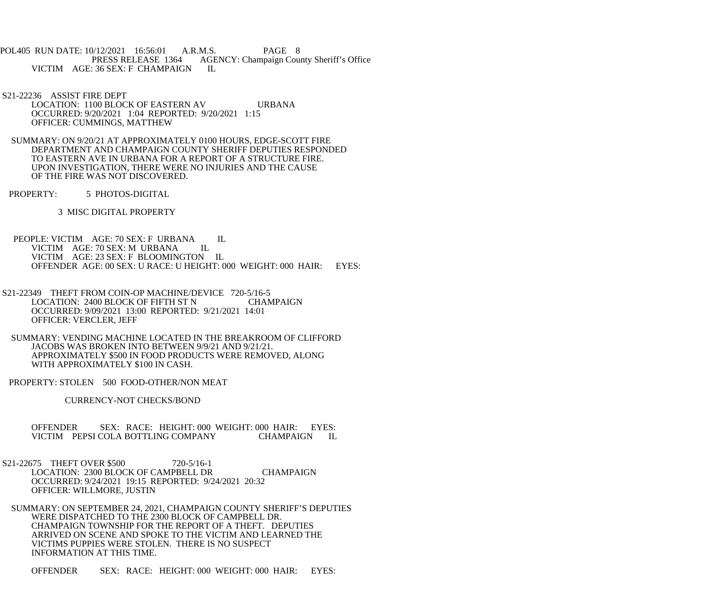POL405 RUN DATE: 10/12/2021 16:56:01 A.R.M.S. PAGE 8 PRESS RELEASE 1364 AGENCY: Champaign County Sheriff's Office VICTIM AGE: 36 SEX: F CHAMPAIGN IL

 S21-22236 ASSIST FIRE DEPT LOCATION: 1100 BLOCK OF EASTERN AV URBANA OCCURRED: 9/20/2021 1:04 REPORTED: 9/20/2021 1:15 OFFICER: CUMMINGS, MATTHEW

 SUMMARY: ON 9/20/21 AT APPROXIMATELY 0100 HOURS, EDGE-SCOTT FIRE DEPARTMENT AND CHAMPAIGN COUNTY SHERIFF DEPUTIES RESPONDED TO EASTERN AVE IN URBANA FOR A REPORT OF A STRUCTURE FIRE. UPON INVESTIGATION, THERE WERE NO INJURIES AND THE CAUSE OF THE FIRE WAS NOT DISCOVERED.

PROPERTY: 5 PHOTOS-DIGITAL

3 MISC DIGITAL PROPERTY

PEOPLE: VICTIM AGE: 70 SEX: F URBANA IL<br>VICTIM AGE: 70 SEX: M URBANA IL VICTIM AGE: 70 SEX: M URBANA VICTIM AGE: 23 SEX: F BLOOMINGTON IL OFFENDER AGE: 00 SEX: U RACE: U HEIGHT: 000 WEIGHT: 000 HAIR: EYES:

- S21-22349 THEFT FROM COIN-OP MACHINE/DEVICE 720-5/16-5 LOCATION: 2400 BLOCK OF FIFTH ST N CHAMPAIGN OCCURRED: 9/09/2021 13:00 REPORTED: 9/21/2021 14:01 OFFICER: VERCLER, JEFF
- SUMMARY: VENDING MACHINE LOCATED IN THE BREAKROOM OF CLIFFORD JACOBS WAS BROKEN INTO BETWEEN 9/9/21 AND 9/21/21. APPROXIMATELY \$500 IN FOOD PRODUCTS WERE REMOVED, ALONG WITH APPROXIMATELY \$100 IN CASH.

PROPERTY: STOLEN 500 FOOD-OTHER/NON MEAT

CURRENCY-NOT CHECKS/BOND

 OFFENDER SEX: RACE: HEIGHT: 000 WEIGHT: 000 HAIR: EYES: VICTIM PEPSI COLA BOTTLING COMPANY CHAMPAIGN IL

S21-22675 THEFT OVER \$500 720-5/16-1 LOCATION: 2300 BLOCK OF CAMPBELL DR CHAMPAIGN OCCURRED: 9/24/2021 19:15 REPORTED: 9/24/2021 20:32 OFFICER: WILLMORE, JUSTIN

 SUMMARY: ON SEPTEMBER 24, 2021, CHAMPAIGN COUNTY SHERIFF'S DEPUTIES WERE DISPATCHED TO THE 2300 BLOCK OF CAMPBELL DR. CHAMPAIGN TOWNSHIP FOR THE REPORT OF A THEFT. DEPUTIES ARRIVED ON SCENE AND SPOKE TO THE VICTIM AND LEARNED THE VICTIMS PUPPIES WERE STOLEN. THERE IS NO SUSPECT INFORMATION AT THIS TIME.

OFFENDER SEX: RACE: HEIGHT: 000 WEIGHT: 000 HAIR: EYES: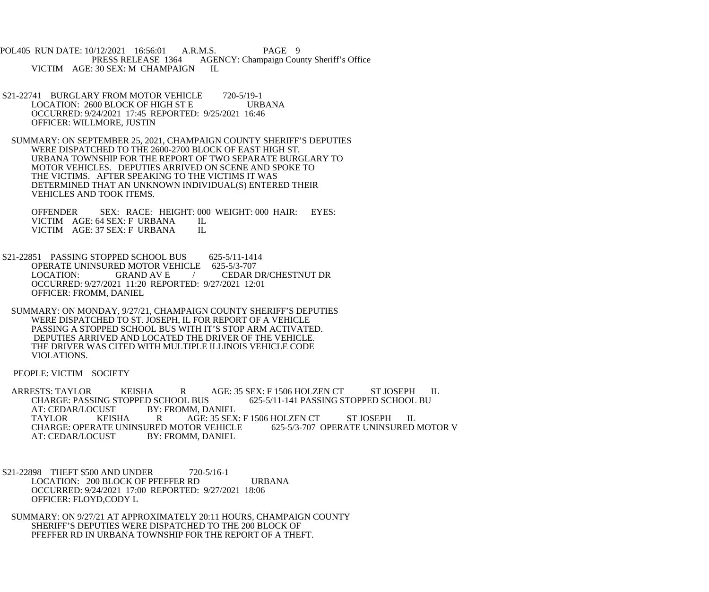POL405 RUN DATE: 10/12/2021 16:56:01 A.R.M.S. PAGE 9<br>PRESS RELEASE 1364 AGENCY: Champaign Cou AGENCY: Champaign County Sheriff's Office VICTIM AGE: 30 SEX: M CHAMPAIGN IL

- S21-22741 BURGLARY FROM MOTOR VEHICLE 720-5/19-1 LOCATION: 2600 BLOCK OF HIGH ST E URBANA OCCURRED: 9/24/2021 17:45 REPORTED: 9/25/2021 16:46 OFFICER: WILLMORE, JUSTIN
- SUMMARY: ON SEPTEMBER 25, 2021, CHAMPAIGN COUNTY SHERIFF'S DEPUTIES WERE DISPATCHED TO THE 2600-2700 BLOCK OF EAST HIGH ST. URBANA TOWNSHIP FOR THE REPORT OF TWO SEPARATE BURGLARY TO MOTOR VEHICLES. DEPUTIES ARRIVED ON SCENE AND SPOKE TO THE VICTIMS. AFTER SPEAKING TO THE VICTIMS IT WAS DETERMINED THAT AN UNKNOWN INDIVIDUAL(S) ENTERED THEIR VEHICLES AND TOOK ITEMS.

OFFENDER SEX: RACE: HEIGHT: 000 WEIGHT: 000 HAIR: EYES:<br>VICTIM AGE: 64 SEX: F URBANA IL VICTIM AGE: 64 SEX: F URBANA IL<br>VICTIM AGE: 37 SEX: F URBANA IL VICTIM AGE: 37 SEX: F URBANA

S21-22851 PASSING STOPPED SCHOOL BUS 625-5/11-1414 OPERATE UNINSURED MOTOR VEHICLE 625-5/3-707<br>LOCATION: GRAND AV E / CEDAR I / CEDAR DR/CHESTNUT DR OCCURRED: 9/27/2021 11:20 REPORTED: 9/27/2021 12:01 OFFICER: FROMM, DANIEL

 SUMMARY: ON MONDAY, 9/27/21, CHAMPAIGN COUNTY SHERIFF'S DEPUTIES WERE DISPATCHED TO ST. JOSEPH, IL FOR REPORT OF A VEHICLE PASSING A STOPPED SCHOOL BUS WITH IT'S STOP ARM ACTIVATED. DEPUTIES ARRIVED AND LOCATED THE DRIVER OF THE VEHICLE. THE DRIVER WAS CITED WITH MULTIPLE ILLINOIS VEHICLE CODE VIOLATIONS.

PEOPLE: VICTIM SOCIETY

 ARRESTS: TAYLOR KEISHA R AGE: 35 SEX: F 1506 HOLZEN CT ST JOSEPH IL CHARGE: PASSING STOPPED SCHOOL BUS 625-5/11-141 PASSING STOPPED SCHOOL BU<br>AT: CEDAR/LOCUST BY: FROMM. DANIEL AT: CEDAR/LOCUST BY: FROMM, DANIEL<br>TAYLOR KEISHA R AGE: 35 SEX AGE: 35 SEX: F 1506 HOLZEN CT ST JOSEPH IL<br>TOR VEHICLE 625-5/3-707 OPERATE UNINSURED MOTOR V CHARGE: OPERATE UNINSURED MOTOR VEHICLE<br>AT: CEDAR/LOCUST BY: FROMM. DANIEL BY: FROMM, DANIEL

- S21-22898 THEFT \$500 AND UNDER 720-5/16-1 LOCATION: 200 BLOCK OF PFEFFER RD URBANA OCCURRED: 9/24/2021 17:00 REPORTED: 9/27/2021 18:06 OFFICER: FLOYD,CODY L
- SUMMARY: ON 9/27/21 AT APPROXIMATELY 20:11 HOURS, CHAMPAIGN COUNTY SHERIFF'S DEPUTIES WERE DISPATCHED TO THE 200 BLOCK OF PFEFFER RD IN URBANA TOWNSHIP FOR THE REPORT OF A THEFT.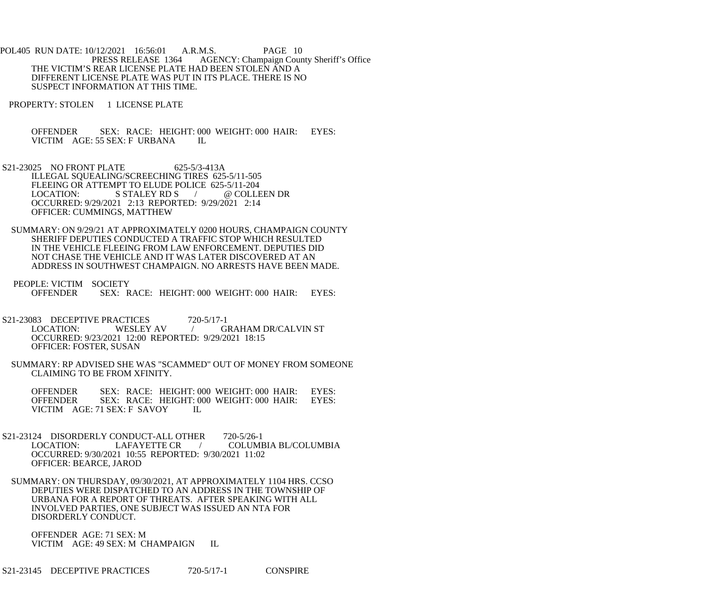POL405 RUN DATE: 10/12/2021 16:56:01 A.R.M.S. PAGE 10<br>PRESS RELEASE 1364 AGENCY: Champaign Cour AGENCY: Champaign County Sheriff's Office THE VICTIM'S REAR LICENSE PLATE HAD BEEN STOLEN AND A DIFFERENT LICENSE PLATE WAS PUT IN ITS PLACE. THERE IS NO SUSPECT INFORMATION AT THIS TIME.

PROPERTY: STOLEN 1 LICENSE PLATE

 OFFENDER SEX: RACE: HEIGHT: 000 WEIGHT: 000 HAIR: EYES: VICTIM AGE: 55 SEX: F URBANA IL

- S21-23025 NO FRONT PLATE 625-5/3-413A ILLEGAL SQUEALING/SCREECHING TIRES 625-5/11-505 FLEEING OR ATTEMPT TO ELUDE POLICE 625-5/11-204<br>LOCATION: S STALEY RD S / @ COLLI S STALEY RD S / @ COLLEEN DR OCCURRED: 9/29/2021 2:13 REPORTED: 9/29/2021 2:14 OFFICER: CUMMINGS, MATTHEW
- SUMMARY: ON 9/29/21 AT APPROXIMATELY 0200 HOURS, CHAMPAIGN COUNTY SHERIFF DEPUTIES CONDUCTED A TRAFFIC STOP WHICH RESULTED IN THE VEHICLE FLEEING FROM LAW ENFORCEMENT. DEPUTIES DID NOT CHASE THE VEHICLE AND IT WAS LATER DISCOVERED AT AN ADDRESS IN SOUTHWEST CHAMPAIGN. NO ARRESTS HAVE BEEN MADE.
- PEOPLE: VICTIM SOCIETY<br>OFFENDER SEX: R SEX: RACE: HEIGHT: 000 WEIGHT: 000 HAIR: EYES:
- S21-23083 DECEPTIVE PRACTICES 720-5/17-1<br>LOCATION: WESLEY AV / GI / GRAHAM DR/CALVIN ST OCCURRED: 9/23/2021 12:00 REPORTED: 9/29/2021 18:15 OFFICER: FOSTER, SUSAN
- SUMMARY: RP ADVISED SHE WAS "SCAMMED" OUT OF MONEY FROM SOMEONE CLAIMING TO BE FROM XFINITY.

 OFFENDER SEX: RACE: HEIGHT: 000 WEIGHT: 000 HAIR: EYES: OFFENDER SEX: RACE: HEIGHT: 000 WEIGHT: 000 HAIR: EYES: VICTIM AGE: 71 SEX: F SAVOY IL

- S21-23124 DISORDERLY CONDUCT-ALL OTHER 720-5/26-1<br>LOCATION: LAFAYETTE CR / COLUMI LOCATION: LAFAYETTE CR / COLUMBIA BL/COLUMBIA OCCURRED: 9/30/2021 10:55 REPORTED: 9/30/2021 11:02 OFFICER: BEARCE, JAROD
- SUMMARY: ON THURSDAY, 09/30/2021, AT APPROXIMATELY 1104 HRS. CCSO DEPUTIES WERE DISPATCHED TO AN ADDRESS IN THE TOWNSHIP OF URBANA FOR A REPORT OF THREATS. AFTER SPEAKING WITH ALL INVOLVED PARTIES, ONE SUBJECT WAS ISSUED AN NTA FOR DISORDERLY CONDUCT.

 OFFENDER AGE: 71 SEX: M VICTIM AGE: 49 SEX: M CHAMPAIGN IL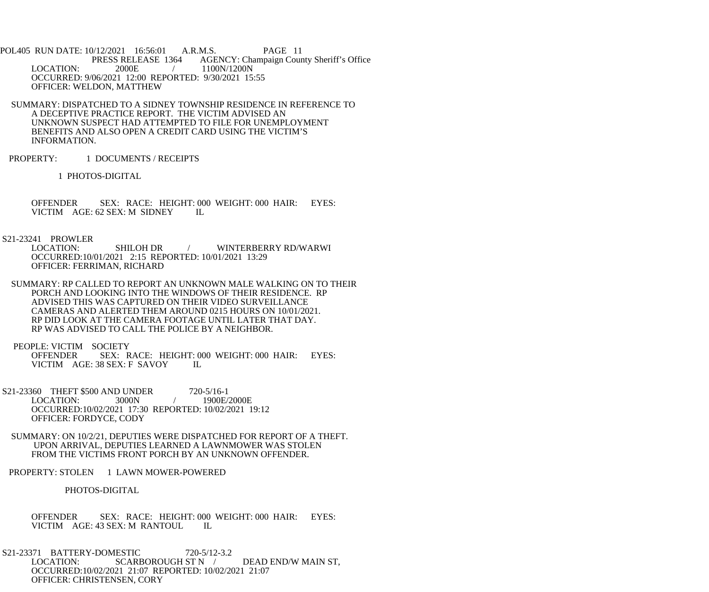POL405 RUN DATE: 10/12/2021 16:56:01 A.R.M.S. PAGE 11<br>PRESS RELEASE 1364 AGENCY: Champaign Cour PRESS RELEASE 1364 AGENCY: Champaign County Sheriff's Office<br>LOCATION: 2000E / 1100N/1200N 2000E / 1100N/1200N OCCURRED: 9/06/2021 12:00 REPORTED: 9/30/2021 15:55 OFFICER: WELDON, MATTHEW

 SUMMARY: DISPATCHED TO A SIDNEY TOWNSHIP RESIDENCE IN REFERENCE TO A DECEPTIVE PRACTICE REPORT. THE VICTIM ADVISED AN UNKNOWN SUSPECT HAD ATTEMPTED TO FILE FOR UNEMPLOYMENT BENEFITS AND ALSO OPEN A CREDIT CARD USING THE VICTIM'S INFORMATION.

PROPERTY: 1 DOCUMENTS / RECEIPTS

1 PHOTOS-DIGITAL

OFFENDER SEX: RACE: HEIGHT: 000 WEIGHT: 000 HAIR: EYES: VICTIM AGE: 62 SEX: M SIDNEY IL VICTIM AGE: 62 SEX: M SIDNEY

## S21-23241 PROWLER

 LOCATION: SHILOH DR / WINTERBERRY RD/WARWI OCCURRED:10/01/2021 2:15 REPORTED: 10/01/2021 13:29 OFFICER: FERRIMAN, RICHARD

 SUMMARY: RP CALLED TO REPORT AN UNKNOWN MALE WALKING ON TO THEIR PORCH AND LOOKING INTO THE WINDOWS OF THEIR RESIDENCE. RP ADVISED THIS WAS CAPTURED ON THEIR VIDEO SURVEILLANCE CAMERAS AND ALERTED THEM AROUND 0215 HOURS ON 10/01/2021. RP DID LOOK AT THE CAMERA FOOTAGE UNTIL LATER THAT DAY. RP WAS ADVISED TO CALL THE POLICE BY A NEIGHBOR.

PEOPLE: VICTIM SOCIETY<br>OFFENDER SEX: R SEX: RACE: HEIGHT: 000 WEIGHT: 000 HAIR: EYES: VICTIM AGE: 38 SEX: F SAVOY IL

S21-23360 THEFT \$500 AND UNDER 720-5/16-1<br>1900E/1900E LOCATION: 3000N / 1900E/2000E OCCURRED:10/02/2021 17:30 REPORTED: 10/02/2021 19:12 OFFICER: FORDYCE, CODY

 SUMMARY: ON 10/2/21, DEPUTIES WERE DISPATCHED FOR REPORT OF A THEFT. UPON ARRIVAL, DEPUTIES LEARNED A LAWNMOWER WAS STOLEN FROM THE VICTIMS FRONT PORCH BY AN UNKNOWN OFFENDER.

PROPERTY: STOLEN 1 LAWN MOWER-POWERED

PHOTOS-DIGITAL

OFFENDER SEX: RACE: HEIGHT: 000 WEIGHT: 000 HAIR: EYES: VICTIM AGE: 43 SEX: M RANTOUL IL VICTIM AGE: 43 SEX: M RANTOUL

 S21-23371 BATTERY-DOMESTIC 720-5/12-3.2 LOCATION: SCARBOROUGH ST N / DEAD END/W MAIN ST, OCCURRED:10/02/2021 21:07 REPORTED: 10/02/2021 21:07 OFFICER: CHRISTENSEN, CORY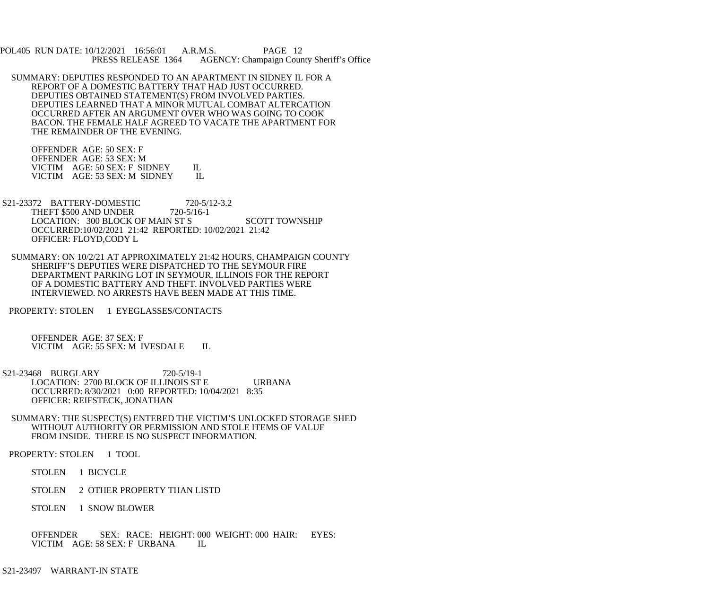POL405 RUN DATE: 10/12/2021 16:56:01 A.R.M.S. PAGE 12 PRESS RELEASE 1364 AGENCY: Champaign County Sheriff's Office

 SUMMARY: DEPUTIES RESPONDED TO AN APARTMENT IN SIDNEY IL FOR A REPORT OF A DOMESTIC BATTERY THAT HAD JUST OCCURRED. DEPUTIES OBTAINED STATEMENT(S) FROM INVOLVED PARTIES. DEPUTIES LEARNED THAT A MINOR MUTUAL COMBAT ALTERCATION OCCURRED AFTER AN ARGUMENT OVER WHO WAS GOING TO COOK BACON. THE FEMALE HALF AGREED TO VACATE THE APARTMENT FOR THE REMAINDER OF THE EVENING.

 OFFENDER AGE: 50 SEX: F OFFENDER AGE: 53 SEX: M VICTIM AGE: 50 SEX: F SIDNEY IL<br>VICTIM AGE: 53 SEX: M SIDNEY IL VICTIM AGE: 53 SEX: M SIDNEY

- S21-23372 BATTERY-DOMESTIC 720-5/12-3.2 THEFT \$500 AND UNDER 720-5/16-1 LOCATION: 300 BLOCK OF MAIN ST S SCOTT TOWNSHIP OCCURRED:10/02/2021 21:42 REPORTED: 10/02/2021 21:42 OFFICER: FLOYD,CODY L
- SUMMARY: ON 10/2/21 AT APPROXIMATELY 21:42 HOURS, CHAMPAIGN COUNTY SHERIFF'S DEPUTIES WERE DISPATCHED TO THE SEYMOUR FIRE DEPARTMENT PARKING LOT IN SEYMOUR, ILLINOIS FOR THE REPORT OF A DOMESTIC BATTERY AND THEFT. INVOLVED PARTIES WERE INTERVIEWED. NO ARRESTS HAVE BEEN MADE AT THIS TIME.
- PROPERTY: STOLEN 1 EYEGLASSES/CONTACTS

 OFFENDER AGE: 37 SEX: F VICTIM AGE: 55 SEX: M IVESDALE IL

- S21-23468 BURGLARY 720-5/19-1 LOCATION: 2700 BLOCK OF ILLINOIS ST E URBANA OCCURRED: 8/30/2021 0:00 REPORTED: 10/04/2021 8:35 OFFICER: REIFSTECK, JONATHAN
	- SUMMARY: THE SUSPECT(S) ENTERED THE VICTIM'S UNLOCKED STORAGE SHED WITHOUT AUTHORITY OR PERMISSION AND STOLE ITEMS OF VALUE FROM INSIDE. THERE IS NO SUSPECT INFORMATION.
- PROPERTY: STOLEN 1 TOOL
	- STOLEN 1 BICYCLE
	- STOLEN 2 OTHER PROPERTY THAN LISTD
	- STOLEN 1 SNOW BLOWER
	- OFFENDER SEX: RACE: HEIGHT: 000 WEIGHT: 000 HAIR: EYES: VICTIM AGE: 58 SEX: F URBANA IL